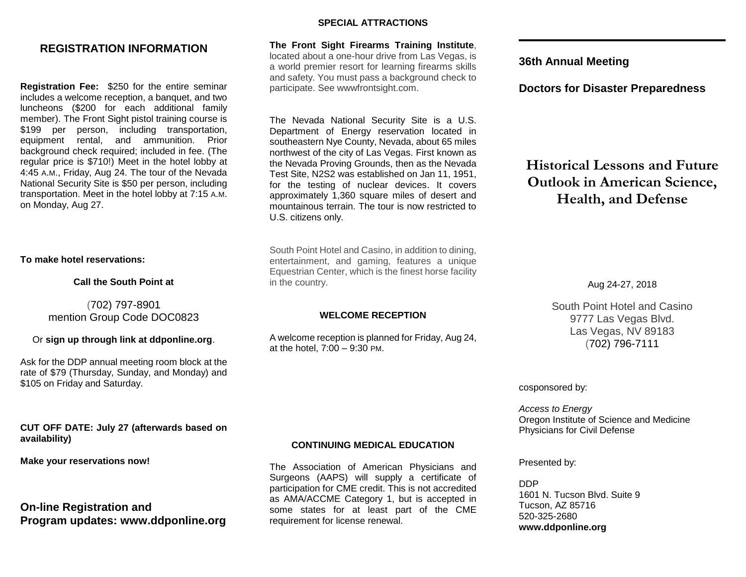# **REGISTRATION INFORMATION**

**Registration Fee:** \$250 for the entire seminar includes a welcome reception, a banquet, and two luncheons (\$200 for each additional family member). The Front Sight pistol training course is \$199 per person, including transportation, equipment rental, and ammunition. Prior background check required; included in fee. (The regular price is \$710!) Meet in the hotel lobby at 4:45 A.M., Friday, Aug 24. The tour of the Nevada National Security Site is \$50 per person, including transportation. Meet in the hotel lobby at 7:15 A.M. on Monday, Aug 27.

#### **To make hotel reservations:**

### **Call the South Point at**

(702) 797-8901 mention Group Code DOC0823

#### Or **sign up through link at ddponline.org**.

Ask for the DDP annual meeting room block at the rate of \$79 (Thursday, Sunday, and Monday) and \$105 on Friday and Saturday.

### **CUT OFF DATE: July 27 (afterwards based on availability)**

#### **Make your reservations now!**

**On-line Registration and Program updates: www.ddponline.org**

#### **SPECIAL ATTRACTIONS**

**The Front Sight Firearms Training Institute**, located about a one-hour drive from Las Vegas, is a world premier resort for learning firearms skills and safety. You must pass a background check to participate. See wwwfrontsight.com.

The Nevada National Security Site is a U.S. Department of Energy reservation located in southeastern Nye County, Nevada, about 65 miles northwest of the city of Las Vegas. First known as the Nevada Proving Grounds, then as the Nevada Test Site, N2S2 was established on Jan 11, 1951, for the testing of nuclear devices. It covers approximately 1,360 square miles of desert and mountainous terrain. The tour is now restricted to U.S. citizens only.

South Point Hotel and Casino, in addition to dining, entertainment, and gaming, features a unique Equestrian Center, which is the finest horse facility in the country.

### **WELCOME RECEPTION**

A welcome reception is planned for Friday, Aug 24, at the hotel, 7:00 – 9:30 PM.

**36th Annual Meeting**

**Doctors for Disaster Preparedness**

**Historical Lessons and Future Outlook in American Science, Health, and Defense**

Aug 24-27, 2018

South Point Hotel and Casino 9777 Las Vegas Blvd. Las Vegas, NV 89183 (702) 796-7111

cosponsored by:

*Access to Energy* Oregon Institute of Science and Medicine Physicians for Civil Defense

Presented by:

DDP 1601 N. Tucson Blvd. Suite 9 Tucson, AZ 85716 520-325-2680 **www.ddponline.org**

## **CONTINUING MEDICAL EDUCATION**

The Association of American Physicians and Surgeons (AAPS) will supply a certificate of participation for CME credit. This is not accredited as AMA/ACCME Category 1, but is accepted in some states for at least part of the CME requirement for license renewal.